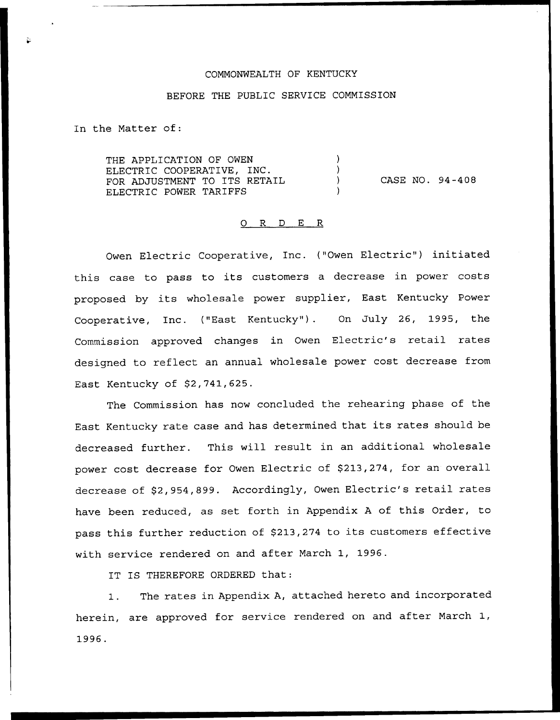#### COMMONWEALTH OF KENTUCKY

#### BEFORE THE PUBLIC SERVICE COMMISSION

In the Matter of:

THE APPLICATION OF OWEN  $\lambda$ ELECTRIC COOPERATIVE, INC.  $\lambda$ CASE NO. 94-408 FOR ADJUSTMENT TO ITS RETAIL  $\left| \right|$ ELECTRIC POWER TARIFFS

#### 0 R <sup>D</sup> E R

Owen Electric Cooperative, Inc. ("Owen Electric") initiated this case to pass to its customers <sup>a</sup> decrease in power costs proposed by its wholesale power supplier, East Kentucky Power Cooperative, Inc. {"East Kentucky" ). On July 26, 1995, the Commission approved changes in Owen Electric's retail rates designed to reflect an annual wholesale power cost decrease from East Kentucky of S2,741,625.

The Commission has now concluded the rehearing phase of the East Kentucky rate case and has determined that its rates should be decreased further. This will result in an additional wholesale power cost decrease for Owen Electric of \$213,274, for an overall decrease of \$2,954,899. Accordingly, Owen Electric's retail rates have been reduced, as set forth in Appendix <sup>A</sup> of this Order, to pass this further reduction of \$213,274 to its customers effective with service rendered on and after March 1, 1996.

IT IS THEREFORE ORDERED that:

1. The rates in Appendix A, attached hereto and incorporated herein, are approved for service rendered on and after March 1, 1996.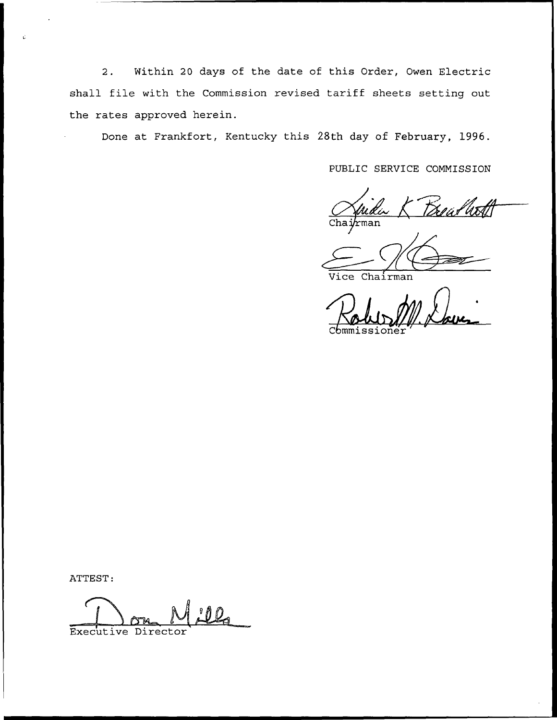2. Within 20 days of the date of this Order, Owen Electric shall file with the Commission revised tariff sheets setting out the rates approved herein.

Done at Frankfort, Kentucky this 28th day of February, 1996.

PUBLIC SERVICE COMMISSION

tdeearth rman

ce Chairman

C $\epsilon$ mmission

ATTEST:

Executive Director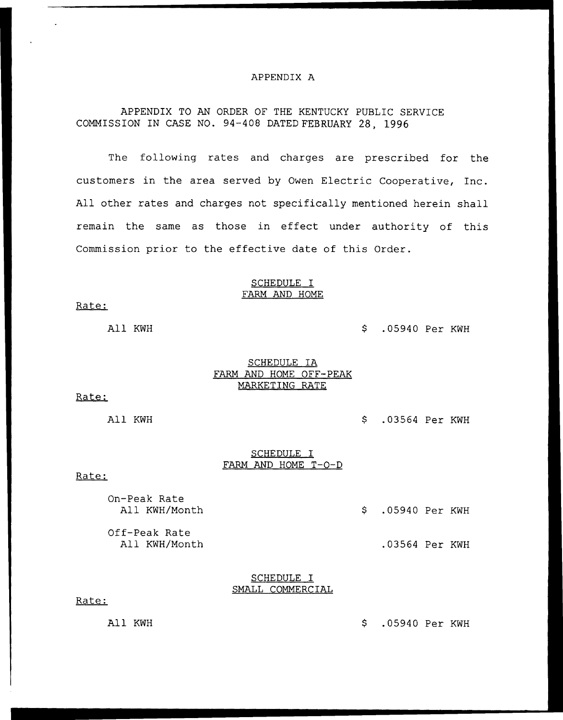#### APPENDIX A

# APPENDIX TO AN ORDER OF THE KENTUCKY PUBLIC SERVICE COMMISSION IN CASE NO. 94-408 DATED FEBRUARY 28, 1996

The following rates and charges are prescribed for the customers in the area served by Owen Electric Cooperative, Inc. All other rates and charges not specifically mentioned herein shall remain the same as those in effect under authority of this Commission prior to the effective date of this Order.

#### SCHEDULE I FARM AND HOME

Rate:

# All KWH  $\sim$  .05940 Per KWH

## SCHEDULE IA FARM AND HOME OFF-PEAK MARKETING RATE

Rate:

All KWH .03564 Per KWH

## SCHEDULE I FARM AND HOME <sup>T</sup>—0—<sup>D</sup>

#### Rate:

On-Peak Rate

Off-Peak Rate<br>All KWH/Month

# \$ .05940 Per KWH

.03564 Per KWH

## SCHEDULE I SMALL COMMERCIAL

#### Rate:

All KWH .05940 Per KWH